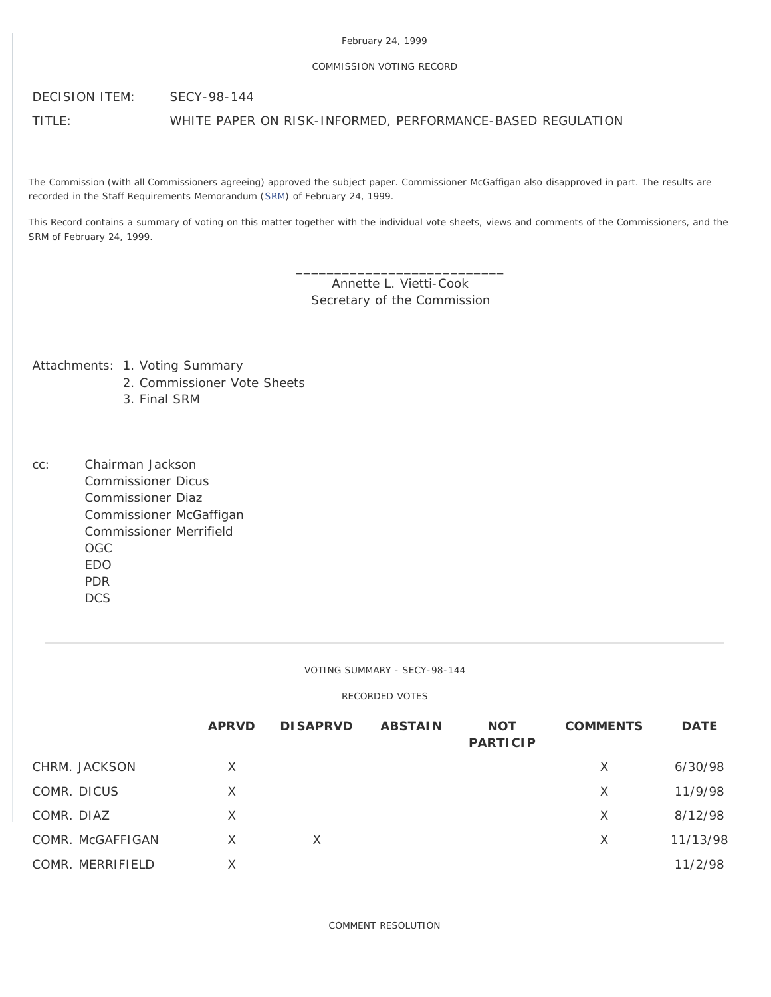### February 24, 1999

### COMMISSION VOTING RECORD

DECISION ITEM: SECY-98-144

TITLE: WHITE PAPER ON RISK-INFORMED, PERFORMANCE-BASED REGULATION

The Commission (with all Commissioners agreeing) approved the subject paper. Commissioner McGaffigan also disapproved in part. The results are recorded in the Staff Requirements Memorandum [\(SRM](http://www.nrc.gov/reading-rm/doc-collections/commission/srm/1998/1998-144srm.html)) of February 24, 1999.

This Record contains a summary of voting on this matter together with the individual vote sheets, views and comments of the Commissioners, and the SRM of February 24, 1999.

> \_\_\_\_\_\_\_\_\_\_\_\_\_\_\_\_\_\_\_\_\_\_\_\_\_\_\_ Annette L. Vietti-Cook Secretary of the Commission

Attachments: 1. Voting Summary

- 2. Commissioner Vote Sheets
- 3. Final SRM
- cc: Chairman Jackson Commissioner Dicus Commissioner Diaz Commissioner McGaffigan Commissioner Merrifield OGC EDO PDR DCS

VOTING SUMMARY - SECY-98-144

RECORDED VOTES

|                  | <b>APRVD</b> | <b>DISAPRVD</b> | <b>ABSTAIN</b> | <b>NOT</b><br><b>PARTICIP</b> | <b>COMMENTS</b> | <b>DATE</b> |
|------------------|--------------|-----------------|----------------|-------------------------------|-----------------|-------------|
| CHRM. JACKSON    | $\times$     |                 |                |                               | X               | 6/30/98     |
| COMR. DICUS      | $\times$     |                 |                |                               | $\times$        | 11/9/98     |
| COMR. DIAZ       | X            |                 |                |                               | X               | 8/12/98     |
| COMR. McGAFFIGAN | X            | X               |                |                               | X               | 11/13/98    |
| COMR. MERRIFIELD | X            |                 |                |                               |                 | 11/2/98     |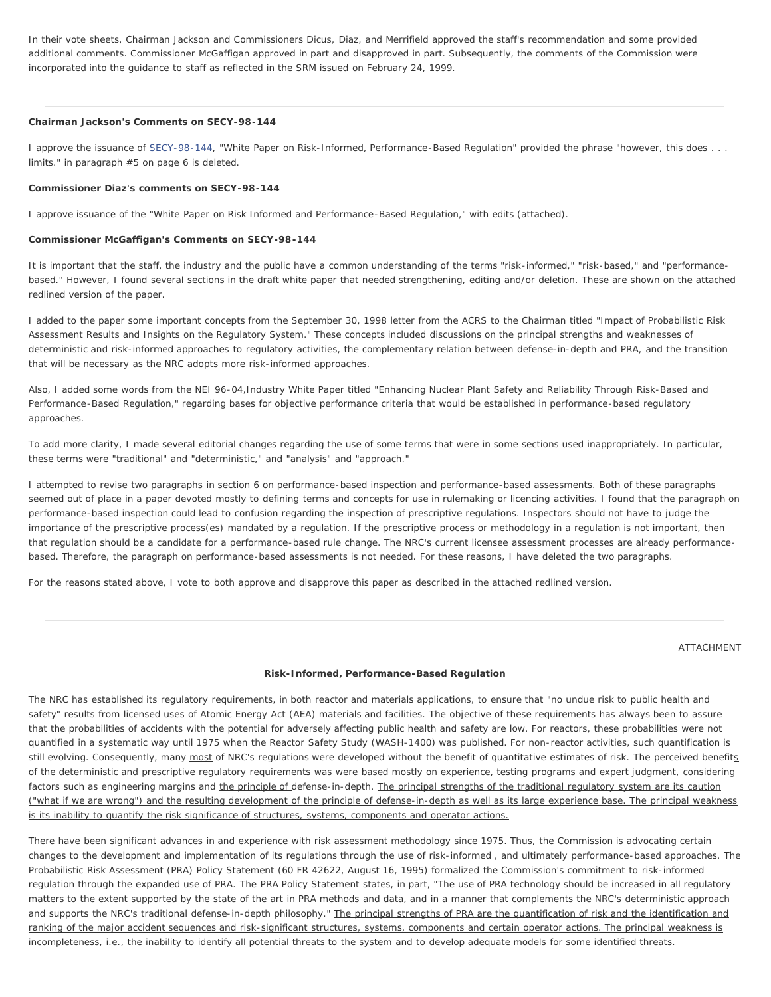In their vote sheets, Chairman Jackson and Commissioners Dicus, Diaz, and Merrifield approved the staff's recommendation and some provided additional comments. Commissioner McGaffigan approved in part and disapproved in part. Subsequently, the comments of the Commission were incorporated into the guidance to staff as reflected in the SRM issued on February 24, 1999.

#### **Chairman Jackson's Comments on SECY-98-144**

I approve the issuance of [SECY-98-144,](http://www.nrc.gov/reading-rm/doc-collections/commission/secys/1998/secy1998-144/1998-144scy.html) "White Paper on Risk-Informed, Performance-Based Regulation" provided the phrase "however, this does . . . limits." in paragraph #5 on page 6 is deleted.

#### **Commissioner Diaz's comments on SECY-98-144**

I approve issuance of the "White Paper on Risk Informed and Performance-Based Regulation," with edits (attached).

### **Commissioner McGaffigan's Comments on SECY-98-144**

It is important that the staff, the industry and the public have a common understanding of the terms "risk-informed," "risk-based," and "performancebased." However, I found several sections in the draft white paper that needed strengthening, editing and/or deletion. These are shown on the attached redlined version of the paper.

I added to the paper some important concepts from the September 30, 1998 letter from the ACRS to the Chairman titled "Impact of Probabilistic Risk Assessment Results and Insights on the Regulatory System." These concepts included discussions on the principal strengths and weaknesses of deterministic and risk-informed approaches to regulatory activities, the complementary relation between defense-in-depth and PRA, and the transition that will be necessary as the NRC adopts more risk-informed approaches.

Also, I added some words from the NEI 96-04,Industry White Paper titled "Enhancing Nuclear Plant Safety and Reliability Through Risk-Based and Performance-Based Regulation," regarding bases for objective performance criteria that would be established in performance-based regulatory approaches.

To add more clarity, I made several editorial changes regarding the use of some terms that were in some sections used inappropriately. In particular, these terms were "traditional" and "deterministic," and "analysis" and "approach."

I attempted to revise two paragraphs in section 6 on performance-based inspection and performance-based assessments. Both of these paragraphs seemed out of place in a paper devoted mostly to defining terms and concepts for use in rulemaking or licencing activities. I found that the paragraph on performance-based inspection could lead to confusion regarding the inspection of prescriptive regulations. Inspectors should not have to judge the importance of the prescriptive process(es) mandated by a regulation. If the prescriptive process or methodology in a regulation is not important, then that regulation should be a candidate for a performance-based rule change. The NRC's current licensee assessment processes are already performancebased. Therefore, the paragraph on performance-based assessments is not needed. For these reasons, I have deleted the two paragraphs.

For the reasons stated above, I vote to both approve and disapprove this paper as described in the attached redlined version.

ATTACHMENT

#### **Risk-Informed, Performance-Based Regulation**

The NRC has established its regulatory requirements, in both reactor and materials applications, to ensure that "no undue risk to public health and safety" results from licensed uses of Atomic Energy Act (AEA) materials and facilities. The objective of these requirements has always been to assure that the probabilities of accidents with the potential for adversely affecting public health and safety are low. For reactors, these probabilities were not quantified in a systematic way until 1975 when the Reactor Safety Study (WASH-1400) was published. For non-reactor activities, such quantification is still evolving. Consequently, many most of NRC's regulations were developed without the benefit of quantitative estimates of risk. The perceived benefits of the deterministic and prescriptive regulatory requirements was were based mostly on experience, testing programs and expert judgment, considering factors such as engineering margins and the principle of defense-in-depth. The principal strengths of the traditional regulatory system are its caution ("what if we are wrong") and the resulting development of the principle of defense-in-depth as well as its large experience base. The principal weakness is its inability to quantify the risk significance of structures, systems, components and operator actions.

There have been significant advances in and experience with risk assessment methodology since 1975. Thus, the Commission is advocating certain changes to the development and implementation of its regulations through the use of risk-informed , and ultimately performance-based approaches. The Probabilistic Risk Assessment (PRA) Policy Statement (60 FR 42622, August 16, 1995) formalized the Commission's commitment to risk-informed regulation through the expanded use of PRA. The PRA Policy Statement states, in part, "The use of PRA technology should be increased in all regulatory matters to the extent supported by the state of the art in PRA methods and data, and in a manner that complements the NRC's deterministic approach and supports the NRC's traditional defense-in-depth philosophy." The principal strengths of PRA are the quantification of risk and the identification and ranking of the major accident sequences and risk-significant structures, systems, components and certain operator actions. The principal weakness is incompleteness, i.e., the inability to identify all potential threats to the system and to develop adequate models for some identified threats.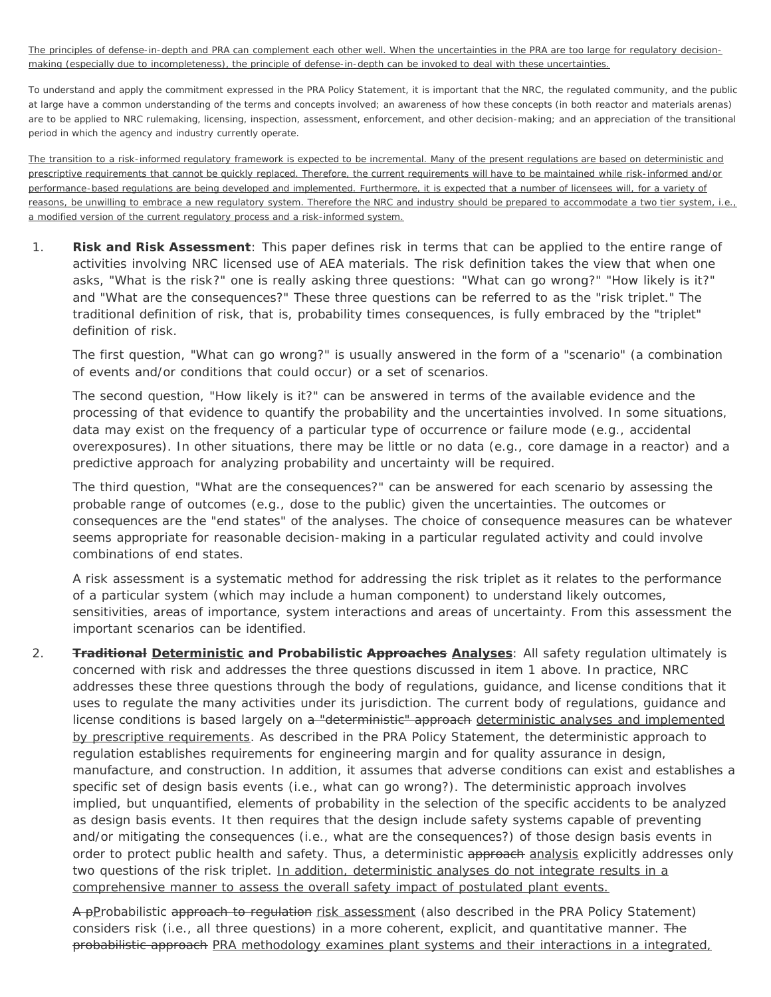The principles of defense-in-depth and PRA can complement each other well. When the uncertainties in the PRA are too large for regulatory decisionmaking (especially due to incompleteness), the principle of defense-in-depth can be invoked to deal with these uncertainties.

To understand and apply the commitment expressed in the PRA Policy Statement, it is important that the NRC, the regulated community, and the public at large have a common understanding of the terms and concepts involved; an awareness of how these concepts (in both reactor and materials arenas) are to be applied to NRC rulemaking, licensing, inspection, assessment, enforcement, and other decision-making; and an appreciation of the transitional period in which the agency and industry currently operate.

The transition to a risk-informed regulatory framework is expected to be incremental. Many of the present regulations are based on deterministic and prescriptive requirements that cannot be quickly replaced. Therefore, the current requirements will have to be maintained while risk-informed and/or performance-based regulations are being developed and implemented. Furthermore, it is expected that a number of licensees will, for a variety of reasons, be unwilling to embrace a new regulatory system. Therefore the NRC and industry should be prepared to accommodate a two tier system, i.e., a modified version of the current regulatory process and a risk-informed system.

1. **Risk and Risk Assessment**: This paper defines risk in terms that can be applied to the entire range of activities involving NRC licensed use of AEA materials. The risk definition takes the view that when one asks, "What is the risk?" one is really asking three questions: "What can go wrong?" "How likely is it?" and "What are the consequences?" These three questions can be referred to as the "risk triplet." The traditional definition of risk, that is, probability times consequences, is fully embraced by the "triplet" definition of risk.

The first question, "What can go wrong?" is usually answered in the form of a "scenario" (a combination of events and/or conditions that could occur) or a set of scenarios.

The second question, "How likely is it?" can be answered in terms of the available evidence and the processing of that evidence to quantify the probability and the uncertainties involved. In some situations, data may exist on the frequency of a particular type of occurrence or failure mode (e.g., accidental overexposures). In other situations, there may be little or no data (e.g., core damage in a reactor) and a predictive approach for analyzing probability and uncertainty will be required.

The third question, "What are the consequences?" can be answered for each scenario by assessing the probable range of outcomes (e.g., dose to the public) given the uncertainties. The outcomes or consequences are the "end states" of the analyses. The choice of consequence measures can be whatever seems appropriate for reasonable decision-making in a particular regulated activity and could involve combinations of end states.

A risk assessment is a systematic method for addressing the risk triplet as it relates to the performance of a particular system (which may include a human component) to understand likely outcomes, sensitivities, areas of importance, system interactions and areas of uncertainty. From this assessment the important scenarios can be identified.

2. **Traditional Deterministic and Probabilistic Approaches Analyses**: All safety regulation ultimately is concerned with risk and addresses the three questions discussed in item 1 above. In practice, NRC addresses these three questions through the body of regulations, guidance, and license conditions that it uses to regulate the many activities under its jurisdiction. The current body of regulations, guidance and license conditions is based largely on a "deterministic" approach deterministic analyses and implemented by prescriptive requirements. As described in the PRA Policy Statement, the deterministic approach to regulation establishes requirements for engineering margin and for quality assurance in design, manufacture, and construction. In addition, it assumes that adverse conditions can exist and establishes a specific set of design basis events (i.e., what can go wrong?). The deterministic approach involves implied, but unquantified, elements of probability in the selection of the specific accidents to be analyzed as design basis events. It then requires that the design include safety systems capable of preventing and/or mitigating the consequences (i.e., what are the consequences?) of those design basis events in order to protect public health and safety. Thus, a deterministic approach analysis explicitly addresses only two questions of the risk triplet. In addition, deterministic analyses do not integrate results in a comprehensive manner to assess the overall safety impact of postulated plant events.

A pProbabilistic approach to regulation risk assessment (also described in the PRA Policy Statement) considers risk (i.e., all three questions) in a more coherent, explicit, and quantitative manner. The probabilistic approach PRA methodology examines plant systems and their interactions in a integrated,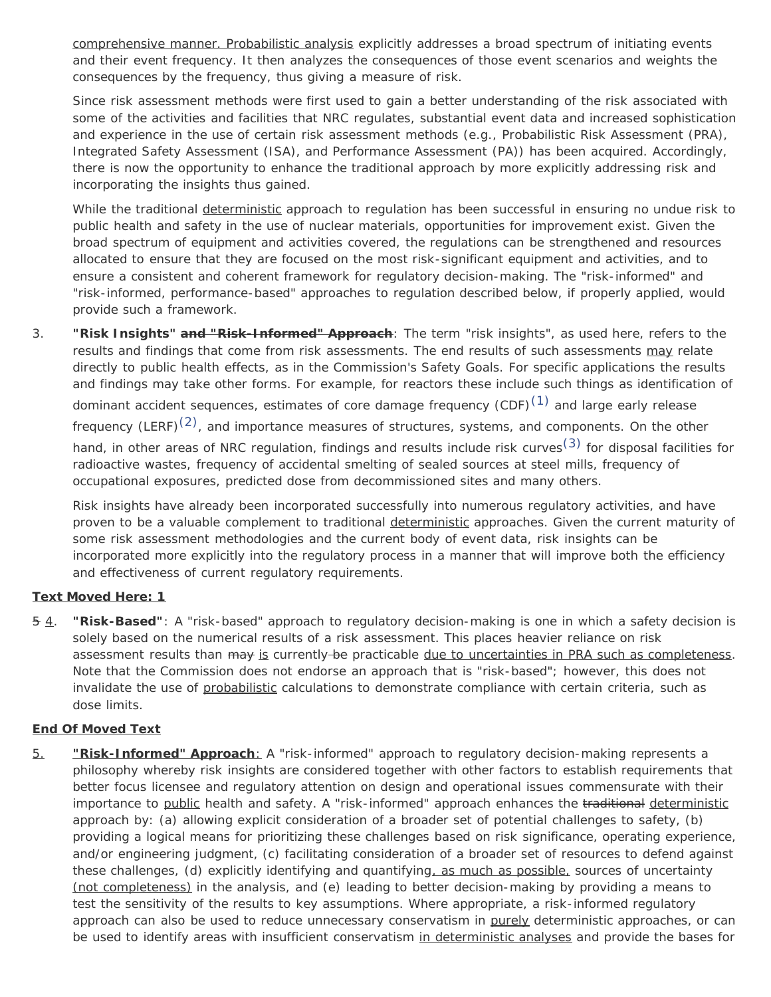comprehensive manner. Probabilistic analysis explicitly addresses a broad spectrum of initiating events and their event frequency. It then analyzes the consequences of those event scenarios and weights the consequences by the frequency, thus giving a measure of risk.

Since risk assessment methods were first used to gain a better understanding of the risk associated with some of the activities and facilities that NRC regulates, substantial event data and increased sophistication and experience in the use of certain risk assessment methods (e.g., Probabilistic Risk Assessment (PRA), Integrated Safety Assessment (ISA), and Performance Assessment (PA)) has been acquired. Accordingly, there is now the opportunity to enhance the traditional approach by more explicitly addressing risk and incorporating the insights thus gained.

While the traditional deterministic approach to regulation has been successful in ensuring no undue risk to public health and safety in the use of nuclear materials, opportunities for improvement exist. Given the broad spectrum of equipment and activities covered, the regulations can be strengthened and resources allocated to ensure that they are focused on the most risk-significant equipment and activities, and to ensure a consistent and coherent framework for regulatory decision-making. The "risk-informed" and "risk-informed, performance-based" approaches to regulation described below, if properly applied, would provide such a framework.

3. **"Risk Insights" and "Risk-Informed" Approach**: The term "risk insights", as used here, refers to the results and findings that come from risk assessments. The end results of such assessments may relate directly to public health effects, as in the Commission's Safety Goals. For specific applications the results and findings may take other forms. For example, for reactors these include such things as identification of dominant accident sequences, estimates of core damage frequency (CDF)<sup>(1)</sup> and large early release frequency (LERF) $(2)$ , and importance measures of structures, systems, and components. On the other hand, in other areas of NRC regulation, findings and results include risk curves<sup>[\(3\)](#page-5-2)</sup> for disposal facilities for radioactive wastes, frequency of accidental smelting of sealed sources at steel mills, frequency of occupational exposures, predicted dose from decommissioned sites and many others.

Risk insights have already been incorporated successfully into numerous regulatory activities, and have proven to be a valuable complement to traditional deterministic approaches. Given the current maturity of some risk assessment methodologies and the current body of event data, risk insights can be incorporated more explicitly into the regulatory process in a manner that will improve both the efficiency and effectiveness of current regulatory requirements.

## **Text Moved Here: 1**

5 4. **"Risk-Based"**: A "risk-based" approach to regulatory decision-making is one in which a safety decision is solely based on the numerical results of a risk assessment. This places heavier reliance on risk assessment results than may is currently-be practicable due to uncertainties in PRA such as completeness. Note that the Commission does not endorse an approach that is "risk-based"; however, this does not invalidate the use of probabilistic calculations to demonstrate compliance with certain criteria, such as dose limits.

## **End Of Moved Text**

5. **"Risk-Informed" Approach**: A "risk-informed" approach to regulatory decision-making represents a philosophy whereby risk insights are considered together with other factors to establish requirements that better focus licensee and regulatory attention on design and operational issues commensurate with their importance to public health and safety. A "risk-informed" approach enhances the traditional deterministic approach by: (a) allowing explicit consideration of a broader set of potential challenges to safety, (b) providing a logical means for prioritizing these challenges based on risk significance, operating experience, and/or engineering judgment, (c) facilitating consideration of a broader set of resources to defend against these challenges, (d) explicitly identifying and quantifying, as much as possible, sources of uncertainty (not completeness) in the analysis, and (e) leading to better decision-making by providing a means to test the sensitivity of the results to key assumptions. Where appropriate, a risk-informed regulatory approach can also be used to reduce unnecessary conservatism in purely deterministic approaches, or can be used to identify areas with insufficient conservatism in deterministic analyses and provide the bases for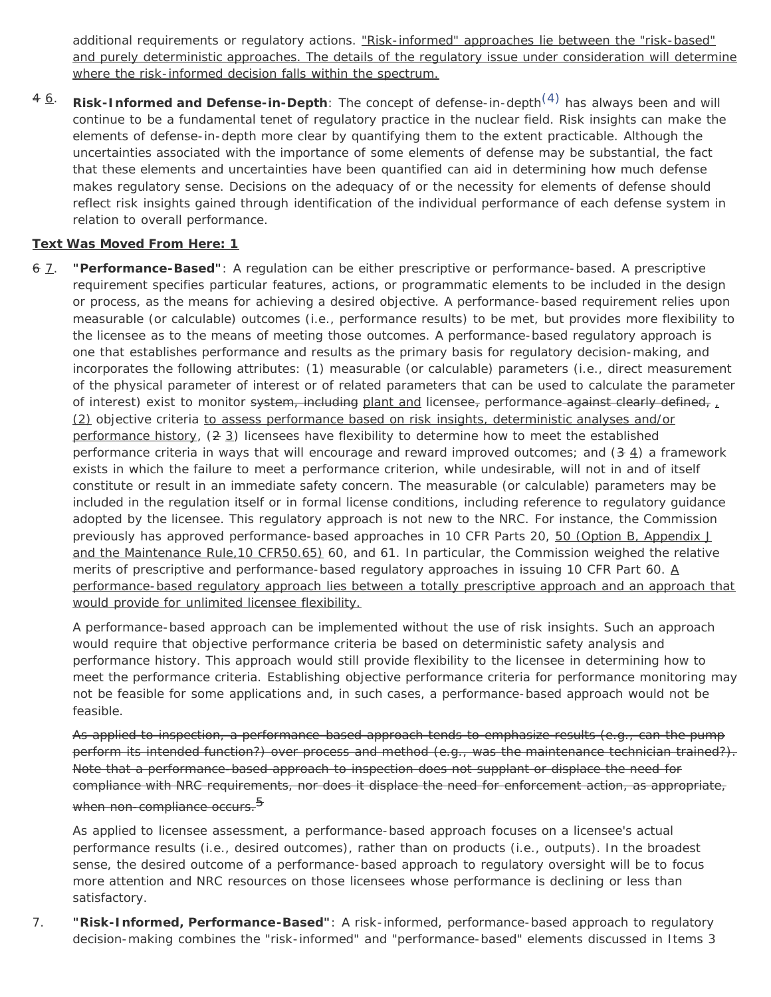additional requirements or regulatory actions. "Risk-informed" approaches lie between the "risk-based" and purely deterministic approaches. The details of the regulatory issue under consideration will determine where the risk-informed decision falls within the spectrum.

4 6. **Risk-Informed and Defense-in-Depth**: The concept of defense-in-depth[\(4\)](#page-5-3) has always been and will continue to be a fundamental tenet of regulatory practice in the nuclear field. Risk insights can make the elements of defense-in-depth more clear by quantifying them to the extent practicable. Although the uncertainties associated with the importance of some elements of defense may be substantial, the fact that these elements and uncertainties have been quantified can aid in determining how much defense makes regulatory sense. Decisions on the adequacy of or the necessity for elements of defense should reflect risk insights gained through identification of the individual performance of each defense system in relation to overall performance.

# **Text Was Moved From Here: 1**

6 7. **"Performance-Based"**: A regulation can be either prescriptive or performance-based. A prescriptive requirement specifies particular features, actions, or programmatic elements to be included in the design or process, as the means for achieving a desired objective. A performance-based requirement relies upon measurable (or calculable) outcomes (i.e., performance results) to be met, but provides more flexibility to the licensee as to the means of meeting those outcomes. A performance-based regulatory approach is one that establishes performance and results as the primary basis for regulatory decision-making, and incorporates the following attributes: (1) measurable (or calculable) parameters (i.e., direct measurement of the physical parameter of interest or of related parameters that can be used to calculate the parameter of interest) exist to monitor system, including plant and licensee, performance against clearly defined,  $\mu$ (2) objective criteria to assess performance based on risk insights, deterministic analyses and/or performance history,  $(2 3)$  licensees have flexibility to determine how to meet the established performance criteria in ways that will encourage and reward improved outcomes; and  $(3 4)$  a framework exists in which the failure to meet a performance criterion, while undesirable, will not in and of itself constitute or result in an immediate safety concern. The measurable (or calculable) parameters may be included in the regulation itself or in formal license conditions, including reference to regulatory guidance adopted by the licensee. This regulatory approach is not new to the NRC. For instance, the Commission previously has approved performance-based approaches in 10 CFR Parts 20, 50 (Option B, Appendix J and the Maintenance Rule,10 CFR50.65) 60, and 61. In particular, the Commission weighed the relative merits of prescriptive and performance-based regulatory approaches in issuing 10 CFR Part 60. A performance-based regulatory approach lies between a totally prescriptive approach and an approach that would provide for unlimited licensee flexibility.

A performance-based approach can be implemented without the use of risk insights. Such an approach would require that objective performance criteria be based on deterministic safety analysis and performance history. This approach would still provide flexibility to the licensee in determining how to meet the performance criteria. Establishing objective performance criteria for performance monitoring may not be feasible for some applications and, in such cases, a performance-based approach would not be feasible.

As applied to inspection, a performance-based approach tends to emphasize results (e.g., can the pump perform its intended function?) over process and method (e.g., was the maintenance technician trained?). Note that a performance-based approach to inspection does not supplant or displace the need for compliance with NRC requirements, nor does it displace the need for enforcement action, as appropriate, when non-compliance occurs.<sup>5</sup>

As applied to licensee assessment, a performance-based approach focuses on a licensee's actual performance results (i.e., desired outcomes), rather than on products (i.e., outputs). In the broadest sense, the desired outcome of a performance-based approach to regulatory oversight will be to focus more attention and NRC resources on those licensees whose performance is declining or less than satisfactory.

7. **"Risk-Informed, Performance-Based"**: A risk-informed, performance-based approach to regulatory decision-making combines the "risk-informed" and "performance-based" elements discussed in Items 3